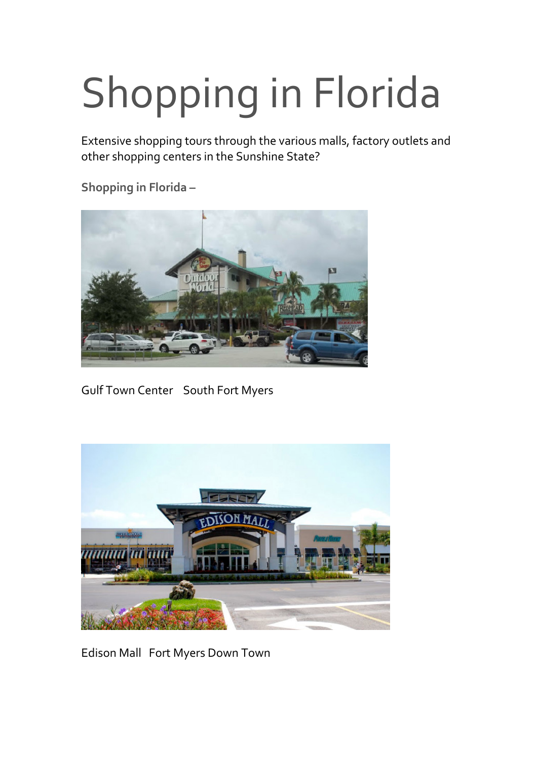## Shopping in Florida

Extensive shopping tours through the various malls, factory outlets and other shopping centers in the Sunshine State?

**Shopping in Florida –** 



Gulf Town Center South Fort Myers



Edison Mall Fort Myers Down Town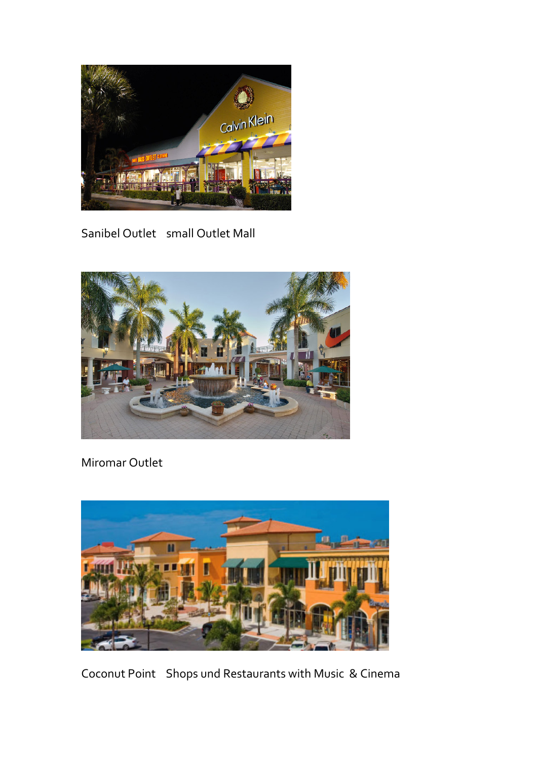

Sanibel Outlet small Outlet Mall



Miromar Outlet



Coconut Point Shops und Restaurants with Music & Cinema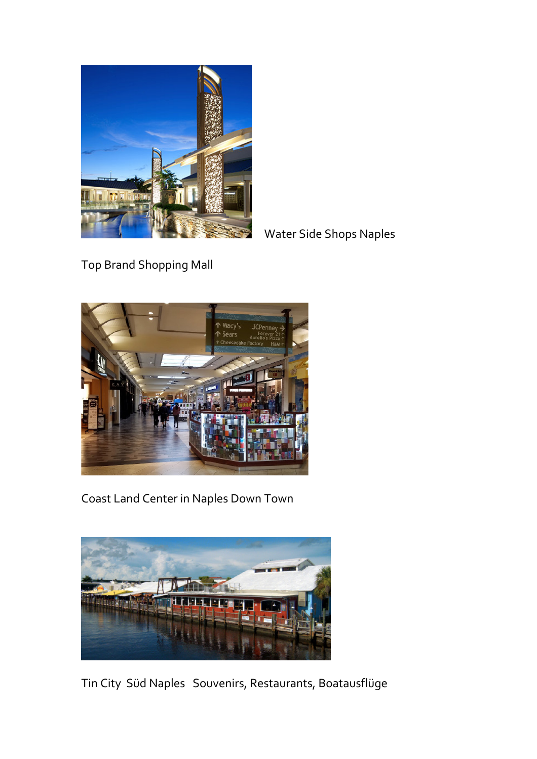

Water Side Shops Naples

Top Brand Shopping Mall



Coast Land Center in Naples Down Town



Tin City Süd Naples Souvenirs, Restaurants, Boatausflüge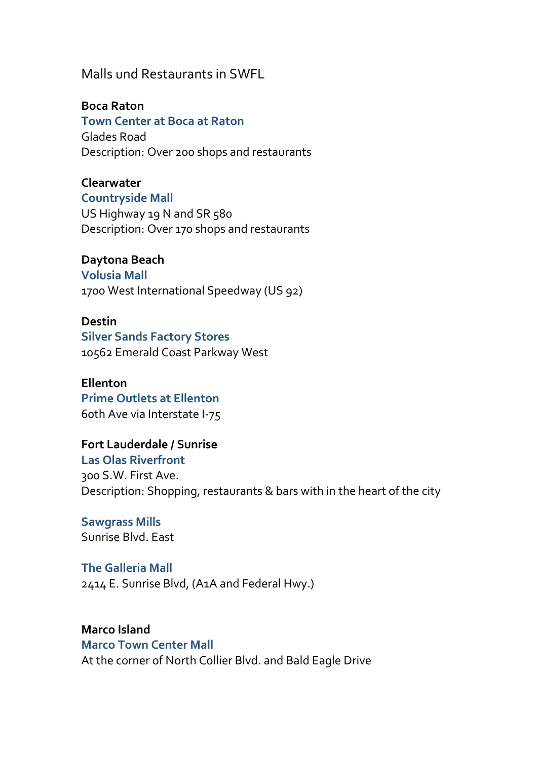## Malls und Restaurants in SWFL

**Boca Raton**

**Town Center at Boca at Raton**  Glades Road Description: Over 200 shops and restaurants

**Clearwater Countryside Mall**  US Highway 19 N and SR 580 Description: Over 170 shops and restaurants

**Daytona Beach Volusia Mall** 

1700 West International Speedway (US 92)

**Destin Silver Sands Factory Stores**  10562 Emerald Coast Parkway West

**Ellenton Prime Outlets at Ellenton**  60th Ave via Interstate I-75

**Fort Lauderdale / Sunrise Las Olas Riverfront**  300 S.W. First Ave. Description: Shopping, restaurants & bars with in the heart of the city

**Sawgrass Mills** Sunrise Blvd. East

**The Galleria Mall**  2414 E. Sunrise Blvd, (A1A and Federal Hwy.)

**Marco Island Marco Town Center Mall**  At the corner of North Collier Blvd. and Bald Eagle Drive